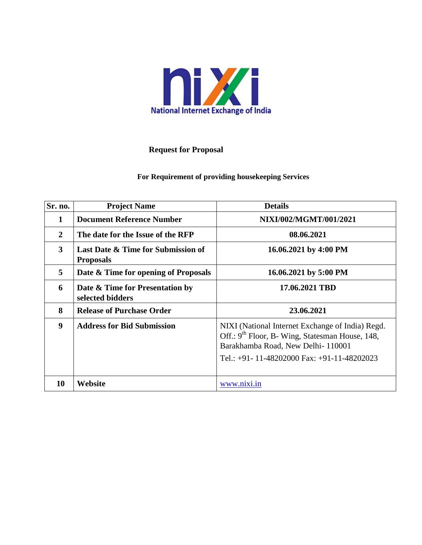

#### **Request for Proposal**

#### **For Requirement of providing housekeeping Services**

| Sr. no.          | <b>Project Name</b>                                    | <b>Details</b>                                                                                                                                                                                      |
|------------------|--------------------------------------------------------|-----------------------------------------------------------------------------------------------------------------------------------------------------------------------------------------------------|
| 1                | <b>Document Reference Number</b>                       | NIXI/002/MGMT/001/2021                                                                                                                                                                              |
| $\overline{2}$   | The date for the Issue of the RFP                      | 08.06.2021                                                                                                                                                                                          |
| $\mathbf{3}$     | Last Date & Time for Submission of<br><b>Proposals</b> | 16.06.2021 by 4:00 PM                                                                                                                                                                               |
| 5                | Date & Time for opening of Proposals                   | 16.06.2021 by 5:00 PM                                                                                                                                                                               |
| 6                | Date & Time for Presentation by<br>selected bidders    | 17.06.2021 TBD                                                                                                                                                                                      |
| 8                | <b>Release of Purchase Order</b>                       | 23.06.2021                                                                                                                                                                                          |
| $\boldsymbol{9}$ | <b>Address for Bid Submission</b>                      | NIXI (National Internet Exchange of India) Regd.<br>Off.: 9 <sup>th</sup> Floor, B- Wing, Statesman House, 148,<br>Barakhamba Road, New Delhi-110001<br>Tel.: +91- 11-48202000 Fax: +91-11-48202023 |
| 10               | Website                                                | www.nixi.in                                                                                                                                                                                         |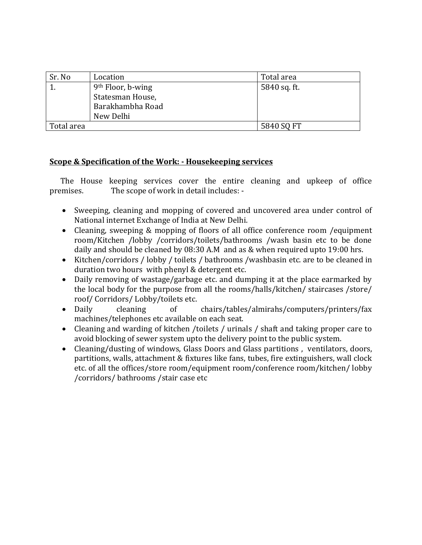| Sr. No     | Location                      | Total area   |
|------------|-------------------------------|--------------|
|            | 9 <sup>th</sup> Floor, b-wing | 5840 sq. ft. |
|            | Statesman House,              |              |
|            | Barakhambha Road              |              |
|            | New Delhi                     |              |
| Total area |                               | 5840 SQ FT   |

#### **Scope & Specification of the Work: - Housekeeping services**

 The House keeping services cover the entire cleaning and upkeep of office premises. The scope of work in detail includes: -

- Sweeping, cleaning and mopping of covered and uncovered area under control of National internet Exchange of India at New Delhi.
- Cleaning, sweeping & mopping of floors of all office conference room /equipment room/Kitchen /lobby /corridors/toilets/bathrooms /wash basin etc to be done daily and should be cleaned by 08:30 A.M and as & when required upto 19:00 hrs.
- Kitchen/corridors / lobby / toilets / bathrooms /washbasin etc. are to be cleaned in duration two hours with phenyl & detergent etc.
- Daily removing of wastage/garbage etc. and dumping it at the place earmarked by the local body for the purpose from all the rooms/halls/kitchen/ staircases /store/ roof/ Corridors/ Lobby/toilets etc.
- Daily cleaning of chairs/tables/almirahs/computers/printers/fax machines/telephones etc available on each seat.
- Cleaning and warding of kitchen /toilets / urinals / shaft and taking proper care to avoid blocking of sewer system upto the delivery point to the public system.
- Cleaning/dusting of windows, Glass Doors and Glass partitions , ventilators, doors, partitions, walls, attachment & fixtures like fans, tubes, fire extinguishers, wall clock etc. of all the offices/store room/equipment room/conference room/kitchen/ lobby /corridors/ bathrooms /stair case etc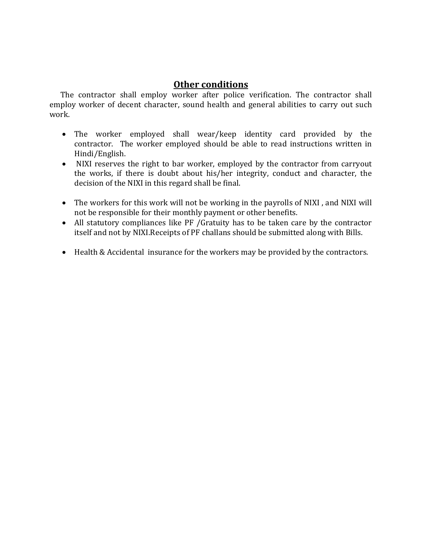### **Other conditions**

 The contractor shall employ worker after police verification. The contractor shall employ worker of decent character, sound health and general abilities to carry out such work.

- The worker employed shall wear/keep identity card provided by the contractor. The worker employed should be able to read instructions written in Hindi/English.
- NIXI reserves the right to bar worker, employed by the contractor from carryout the works, if there is doubt about his/her integrity, conduct and character, the decision of the NIXI in this regard shall be final.
- The workers for this work will not be working in the payrolls of NIXI, and NIXI will not be responsible for their monthly payment or other benefits.
- All statutory compliances like PF /Gratuity has to be taken care by the contractor itself and not by NIXI.Receipts of PF challans should be submitted along with Bills.
- Health & Accidental insurance for the workers may be provided by the contractors.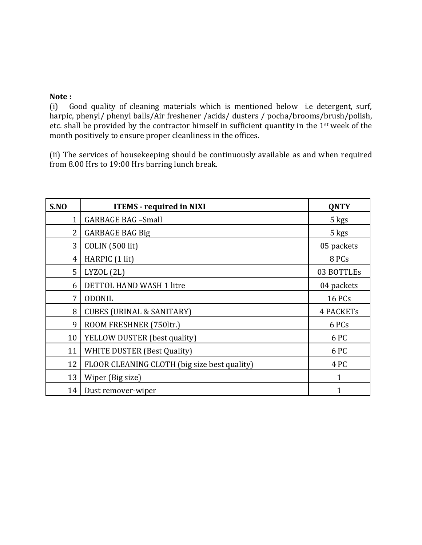#### **Note :**

(i) Good quality of cleaning materials which is mentioned below i.e detergent, surf, harpic, phenyl/ phenyl balls/Air freshener /acids/ dusters / pocha/brooms/brush/polish, etc. shall be provided by the contractor himself in sufficient quantity in the 1st week of the month positively to ensure proper cleanliness in the offices.

(ii) The services of housekeeping should be continuously available as and when required from 8.00 Hrs to 19:00 Hrs barring lunch break.

| S.NO           | <b>ITEMS</b> - required in NIXI              | <b>QNTY</b>      |
|----------------|----------------------------------------------|------------------|
| $\mathbf{1}$   | <b>GARBAGE BAG -Small</b>                    | 5 kgs            |
| $\overline{2}$ | <b>GARBAGE BAG Big</b>                       | 5 kgs            |
| 3              | COLIN (500 lit)                              | 05 packets       |
| 4              | HARPIC (1 lit)                               | 8 PCs            |
| 5              | LYZOL (2L)                                   | 03 BOTTLEs       |
| 6              | DETTOL HAND WASH 1 litre                     | 04 packets       |
| 7              | <b>ODONIL</b>                                | <b>16 PCs</b>    |
| 8              | <b>CUBES (URINAL &amp; SANITARY)</b>         | <b>4 PACKETs</b> |
| 9              | ROOM FRESHNER (750ltr.)                      | 6 PCs            |
| 10             | YELLOW DUSTER (best quality)                 | 6 PC             |
| 11             | <b>WHITE DUSTER (Best Quality)</b>           | 6 PC             |
| 12             | FLOOR CLEANING CLOTH (big size best quality) | 4 PC             |
| 13             | Wiper (Big size)                             | 1                |
| 14             | Dust remover-wiper                           | 1                |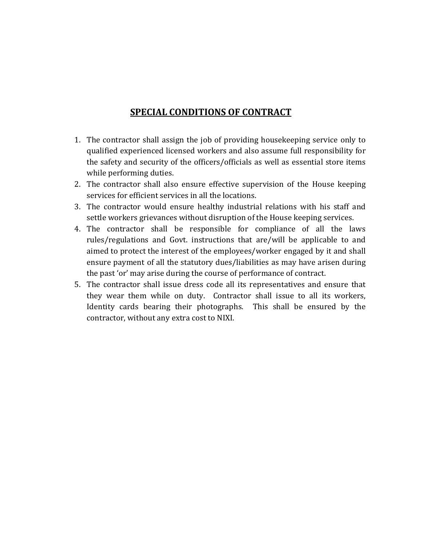### **SPECIAL CONDITIONS OF CONTRACT**

- 1. The contractor shall assign the job of providing housekeeping service only to qualified experienced licensed workers and also assume full responsibility for the safety and security of the officers/officials as well as essential store items while performing duties.
- 2. The contractor shall also ensure effective supervision of the House keeping services for efficient services in all the locations.
- 3. The contractor would ensure healthy industrial relations with his staff and settle workers grievances without disruption of the House keeping services.
- 4. The contractor shall be responsible for compliance of all the laws rules/regulations and Govt. instructions that are/will be applicable to and aimed to protect the interest of the employees/worker engaged by it and shall ensure payment of all the statutory dues/liabilities as may have arisen during the past 'or' may arise during the course of performance of contract.
- 5. The contractor shall issue dress code all its representatives and ensure that they wear them while on duty. Contractor shall issue to all its workers, Identity cards bearing their photographs. This shall be ensured by the contractor, without any extra cost to NIXI.